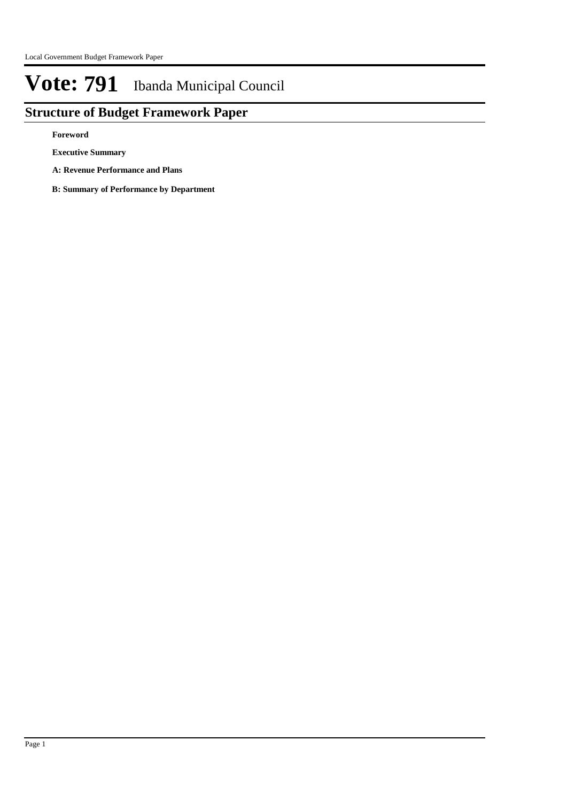## **Structure of Budget Framework Paper**

**Foreword**

**Executive Summary**

**A: Revenue Performance and Plans**

**B: Summary of Performance by Department**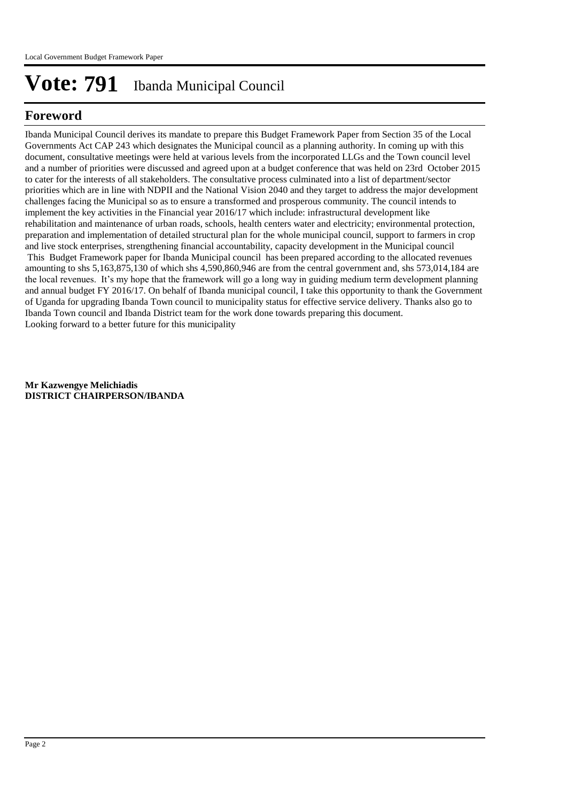## **Foreword**

Ibanda Municipal Council derives its mandate to prepare this Budget Framework Paper from Section 35 of the Local Governments Act CAP 243 which designates the Municipal council as a planning authority. In coming up with this document, consultative meetings were held at various levels from the incorporated LLGs and the Town council level and a number of priorities were discussed and agreed upon at a budget conference that was held on 23rd October 2015 to cater for the interests of all stakeholders. The consultative process culminated into a list of department/sector priorities which are in line with NDPII and the National Vision 2040 and they target to address the major development challenges facing the Municipal so as to ensure a transformed and prosperous community. The council intends to implement the key activities in the Financial year 2016/17 which include: infrastructural development like rehabilitation and maintenance of urban roads, schools, health centers water and electricity; environmental protection, preparation and implementation of detailed structural plan for the whole municipal council, support to farmers in crop and live stock enterprises, strengthening financial accountability, capacity development in the Municipal council This Budget Framework paper for Ibanda Municipal council has been prepared according to the allocated revenues amounting to shs 5,163,875,130 of which shs 4,590,860,946 are from the central government and, shs 573,014,184 are the local revenues. It's my hope that the framework will go a long way in guiding medium term development planning and annual budget FY 2016/17. On behalf of Ibanda municipal council, I take this opportunity to thank the Government of Uganda for upgrading Ibanda Town council to municipality status for effective service delivery. Thanks also go to Ibanda Town council and Ibanda District team for the work done towards preparing this document. Looking forward to a better future for this municipality

**Mr Kazwengye Melichiadis DISTRICT CHAIRPERSON/IBANDA**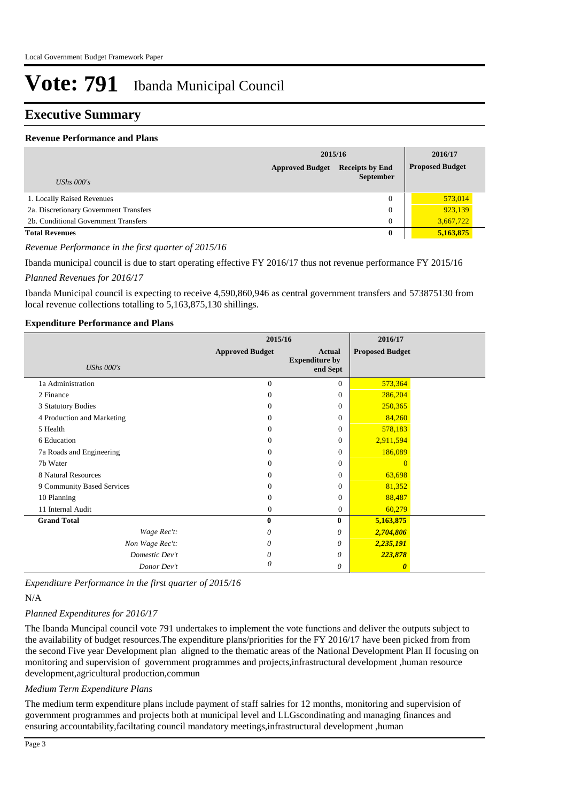### **Executive Summary**

#### **Revenue Performance and Plans**

|                                        | 2015/16                |                                            |  | 2016/17                |
|----------------------------------------|------------------------|--------------------------------------------|--|------------------------|
|                                        | <b>Approved Budget</b> | <b>Receipts by End</b><br><b>September</b> |  | <b>Proposed Budget</b> |
| UShs $000's$                           |                        |                                            |  |                        |
| 1. Locally Raised Revenues             |                        | $\Omega$                                   |  | 573,014                |
| 2a. Discretionary Government Transfers |                        | $\overline{0}$                             |  | 923,139                |
| 2b. Conditional Government Transfers   |                        | 0                                          |  | 3,667,722              |
| <b>Total Revenues</b>                  |                        | 0                                          |  | 5,163,875              |

#### *Revenue Performance in the first quarter of 2015/16*

Ibanda municipal council is due to start operating effective FY 2016/17 thus not revenue performance FY 2015/16

#### *Planned Revenues for 2016/17*

Ibanda Municipal council is expecting to receive 4,590,860,946 as central government transfers and 573875130 from local revenue collections totalling to 5,163,875,130 shillings.

#### **Expenditure Performance and Plans**

|                            | 2015/16                |                                                    | 2016/17                |  |
|----------------------------|------------------------|----------------------------------------------------|------------------------|--|
| <b>UShs 000's</b>          | <b>Approved Budget</b> | <b>Actual</b><br><b>Expenditure by</b><br>end Sept | <b>Proposed Budget</b> |  |
| 1a Administration          | $\Omega$               | $\Omega$                                           | 573,364                |  |
| 2 Finance                  | $\Omega$               | $\Omega$                                           | 286,204                |  |
| 3 Statutory Bodies         | $\Omega$               | $\Omega$                                           | 250,365                |  |
| 4 Production and Marketing | $\Omega$               | $\Omega$                                           | 84,260                 |  |
| 5 Health                   | $\Omega$               | $\Omega$                                           | 578,183                |  |
| 6 Education                | $\Omega$               | $\Omega$                                           | 2,911,594              |  |
| 7a Roads and Engineering   | $\Omega$               | $\Omega$                                           | 186,089                |  |
| 7b Water                   | $\Omega$               | $\Omega$                                           | $\Omega$               |  |
| 8 Natural Resources        | $\Omega$               | $\Omega$                                           | 63,698                 |  |
| 9 Community Based Services | $\Omega$               | 0                                                  | 81,352                 |  |
| 10 Planning                | $\mathbf{0}$           | $\Omega$                                           | 88,487                 |  |
| 11 Internal Audit          | $\mathbf{0}$           | $\mathbf{0}$                                       | 60,279                 |  |
| <b>Grand Total</b>         | $\bf{0}$               | $\bf{0}$                                           | 5,163,875              |  |
| Wage Rec't:                | 0                      | 0                                                  | 2,704,806              |  |
| Non Wage Rec't:            | 0                      | 0                                                  | 2,235,191              |  |
| Domestic Dev't             | 0                      | 0                                                  | 223,878                |  |
| Donor Dev't                | 0                      | 0                                                  | $\boldsymbol{\theta}$  |  |

*Expenditure Performance in the first quarter of 2015/16*

#### N/A

#### *Planned Expenditures for 2016/17*

The Ibanda Muncipal council vote 791 undertakes to implement the vote functions and deliver the outputs subject to the availability of budget resources.The expenditure plans/priorities for the FY 2016/17 have been picked from from the second Five year Development plan aligned to the thematic areas of the National Development Plan II focusing on monitoring and supervision of government programmes and projects,infrastructural development ,human resource development,agricultural production,commun

#### *Medium Term Expenditure Plans*

The medium term expenditure plans include payment of staff salries for 12 months, monitoring and supervision of government programmes and projects both at municipal level and LLGscondinating and managing finances and ensuring accountability,faciltating council mandatory meetings,infrastructural development ,human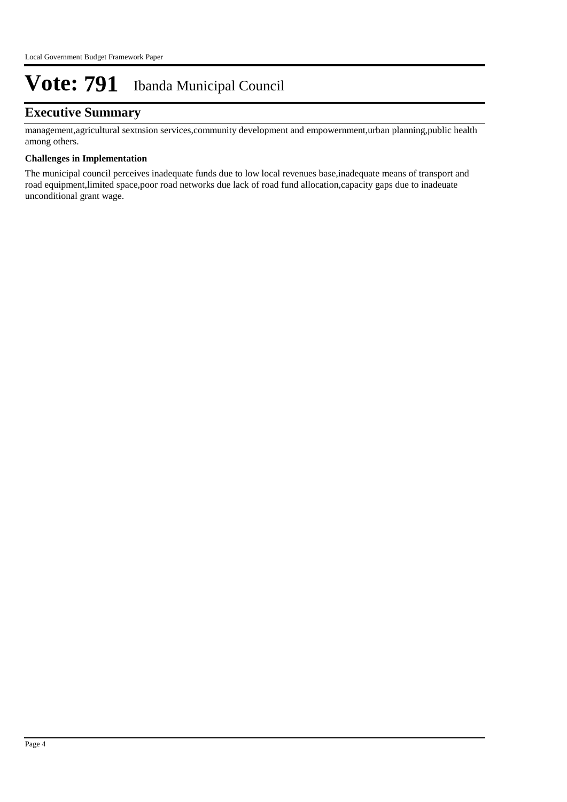## **Executive Summary**

management,agricultural sextnsion services,community development and empowernment,urban planning,public health among others.

#### **Challenges in Implementation**

The municipal council perceives inadequate funds due to low local revenues base,inadequate means of transport and road equipment,limited space,poor road networks due lack of road fund allocation,capacity gaps due to inadeuate unconditional grant wage.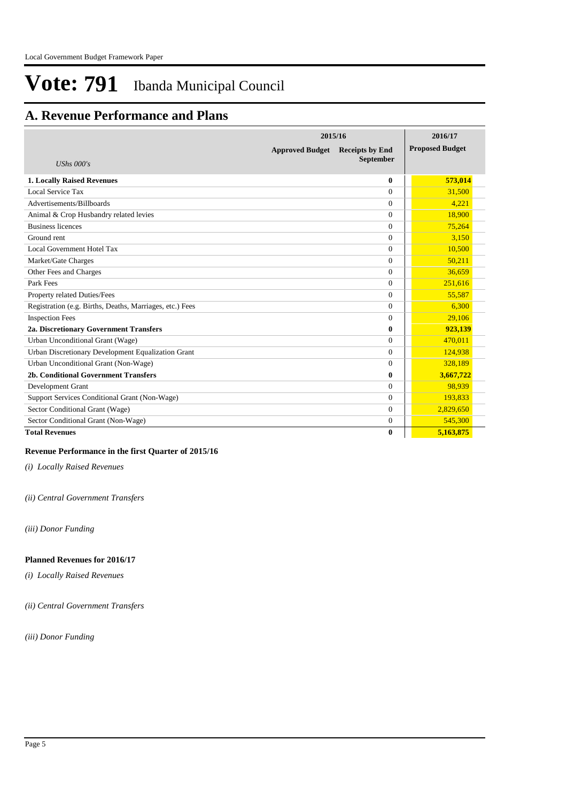## **A. Revenue Performance and Plans**

|                                                          | 2015/16                |                                            |                        |  |
|----------------------------------------------------------|------------------------|--------------------------------------------|------------------------|--|
| UShs $000's$                                             | <b>Approved Budget</b> | <b>Receipts by End</b><br><b>September</b> | <b>Proposed Budget</b> |  |
| <b>1. Locally Raised Revenues</b>                        |                        | $\mathbf{0}$                               | 573,014                |  |
| Local Service Tax                                        |                        | $\Omega$                                   | 31,500                 |  |
| Advertisements/Billboards                                |                        | $\Omega$                                   | 4,221                  |  |
| Animal & Crop Husbandry related levies                   |                        | $\Omega$                                   | 18,900                 |  |
| <b>Business licences</b>                                 |                        | $\mathbf{0}$                               | 75,264                 |  |
| Ground rent                                              |                        | $\Omega$                                   | 3,150                  |  |
| Local Government Hotel Tax                               |                        | $\Omega$                                   | 10,500                 |  |
| Market/Gate Charges                                      |                        | $\Omega$                                   | 50,211                 |  |
| Other Fees and Charges                                   |                        | $\Omega$                                   | 36,659                 |  |
| Park Fees                                                |                        | $\Omega$                                   | 251,616                |  |
| Property related Duties/Fees                             |                        | $\Omega$                                   | 55,587                 |  |
| Registration (e.g. Births, Deaths, Marriages, etc.) Fees |                        | $\Omega$                                   | 6.300                  |  |
| <b>Inspection Fees</b>                                   |                        | $\Omega$                                   | 29,106                 |  |
| 2a. Discretionary Government Transfers                   |                        | $\mathbf{0}$                               | 923,139                |  |
| Urban Unconditional Grant (Wage)                         |                        | $\Omega$                                   | 470,011                |  |
| Urban Discretionary Development Equalization Grant       |                        | $\Omega$                                   | 124,938                |  |
| Urban Unconditional Grant (Non-Wage)                     |                        | $\Omega$                                   | 328,189                |  |
| 2b. Conditional Government Transfers                     |                        | $\mathbf{0}$                               | 3,667,722              |  |
| Development Grant                                        |                        | $\Omega$                                   | 98,939                 |  |
| Support Services Conditional Grant (Non-Wage)            |                        | $\theta$                                   | 193,833                |  |
| Sector Conditional Grant (Wage)                          |                        | $\Omega$                                   | 2,829,650              |  |
| Sector Conditional Grant (Non-Wage)                      |                        | $\overline{0}$                             | 545,300                |  |
| <b>Total Revenues</b>                                    |                        | $\mathbf{0}$                               | 5.163.875              |  |

#### **Revenue Performance in the first Quarter of 2015/16**

*(i) Locally Raised Revenues* 

*(ii) Central Government Transfers*

*(iii) Donor Funding*

#### **Planned Revenues for 2016/17**

*(i) Locally Raised Revenues* 

*(ii) Central Government Transfers*

*(iii) Donor Funding*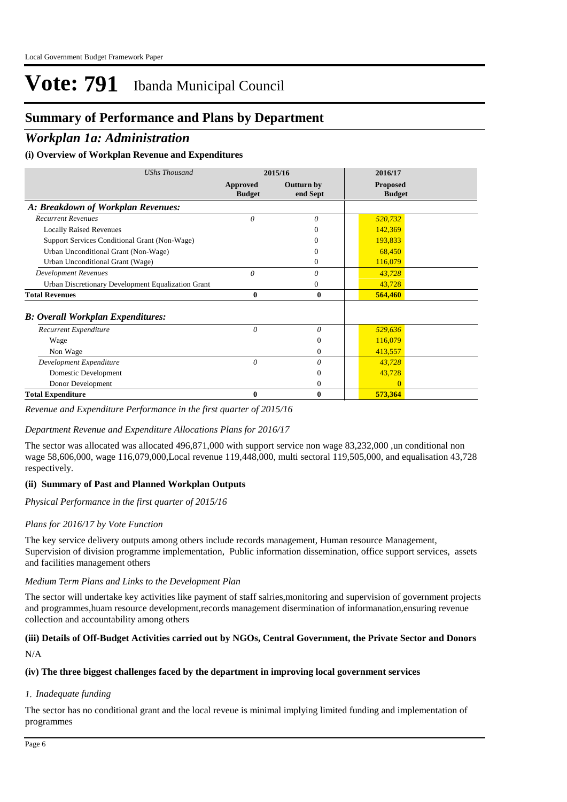## **Summary of Performance and Plans by Department**

### *Workplan 1a: Administration*

#### **(i) Overview of Workplan Revenue and Expenditures**

| <b>UShs Thousand</b>                               |                                  | 2015/16                       | 2016/17                          |  |
|----------------------------------------------------|----------------------------------|-------------------------------|----------------------------------|--|
|                                                    | <b>Approved</b><br><b>Budget</b> | <b>Outturn by</b><br>end Sept | <b>Proposed</b><br><b>Budget</b> |  |
| A: Breakdown of Workplan Revenues:                 |                                  |                               |                                  |  |
| <b>Recurrent Revenues</b>                          | $\theta$                         | 0                             | 520,732                          |  |
| <b>Locally Raised Revenues</b>                     |                                  | 0                             | 142,369                          |  |
| Support Services Conditional Grant (Non-Wage)      |                                  | 0                             | 193,833                          |  |
| Urban Unconditional Grant (Non-Wage)               |                                  | 0                             | 68,450                           |  |
| Urban Unconditional Grant (Wage)                   |                                  | $\Omega$                      | 116,079                          |  |
| <b>Development Revenues</b>                        | $\theta$                         | $\theta$                      | 43,728                           |  |
| Urban Discretionary Development Equalization Grant |                                  | 0                             | 43,728                           |  |
| <b>Total Revenues</b>                              | 0                                | $\bf{0}$                      | 564,460                          |  |
| <b>B: Overall Workplan Expenditures:</b>           |                                  |                               |                                  |  |
| Recurrent Expenditure                              | 0                                | $\theta$                      | 529,636                          |  |
| Wage                                               |                                  | $\overline{0}$                | 116,079                          |  |
| Non Wage                                           |                                  | $\mathbf{0}$                  | 413,557                          |  |
| Development Expenditure                            | $\theta$                         | $\theta$                      | 43,728                           |  |
| Domestic Development                               |                                  | $\overline{0}$                | 43,728                           |  |
| Donor Development                                  |                                  | $\mathbf{0}$                  |                                  |  |
| <b>Total Expenditure</b>                           | 0                                | $\mathbf{0}$                  | 573,364                          |  |

#### *Revenue and Expenditure Performance in the first quarter of 2015/16*

#### *Department Revenue and Expenditure Allocations Plans for 2016/17*

The sector was allocated was allocated 496,871,000 with support service non wage 83,232,000 ,un conditional non wage 58,606,000, wage 116,079,000,Local revenue 119,448,000, multi sectoral 119,505,000, and equalisation 43,728 respectively.

#### **(ii) Summary of Past and Planned Workplan Outputs**

*Physical Performance in the first quarter of 2015/16*

#### *Plans for 2016/17 by Vote Function*

The key service delivery outputs among others include records management, Human resource Management, Supervision of division programme implementation, Public information dissemination, office support services, assets and facilities management others

#### *Medium Term Plans and Links to the Development Plan*

The sector will undertake key activities like payment of staff salries,monitoring and supervision of government projects and programmes,huam resource development,records management disermination of informanation,ensuring revenue collection and accountability among others

## **(iii) Details of Off-Budget Activities carried out by NGOs, Central Government, the Private Sector and Donors**

N/A

#### **(iv) The three biggest challenges faced by the department in improving local government services**

#### *Inadequate funding 1.*

The sector has no conditional grant and the local reveue is minimal implying limited funding and implementation of programmes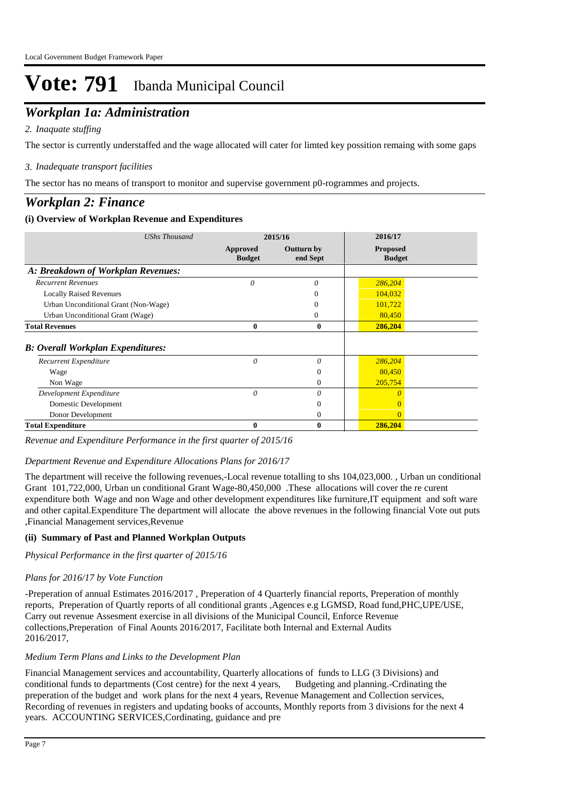## *Workplan 1a: Administration*

#### *Inaquate stuffing 2.*

The sector is currently understaffed and the wage allocated will cater for limted key possition remaing with some gaps

#### *Inadequate transport facilities 3.*

The sector has no means of transport to monitor and supervise government p0-rogrammes and projects.

### *Workplan 2: Finance*

#### **(i) Overview of Workplan Revenue and Expenditures**

| <b>UShs Thousand</b>                     |                           | 2015/16                | 2016/17                          |
|------------------------------------------|---------------------------|------------------------|----------------------------------|
|                                          | Approved<br><b>Budget</b> | Outturn by<br>end Sept | <b>Proposed</b><br><b>Budget</b> |
| A: Breakdown of Workplan Revenues:       |                           |                        |                                  |
| <b>Recurrent Revenues</b>                | 0                         | $\theta$               | 286,204                          |
| <b>Locally Raised Revenues</b>           |                           |                        | 104,032                          |
| Urban Unconditional Grant (Non-Wage)     |                           | 0                      | 101,722                          |
| Urban Unconditional Grant (Wage)         |                           | 0                      | 80,450                           |
| <b>Total Revenues</b>                    | $\bf{0}$                  | $\bf{0}$               | 286,204                          |
| <b>B: Overall Workplan Expenditures:</b> |                           |                        |                                  |
| Recurrent Expenditure                    | $\theta$                  | $\theta$               | 286,204                          |
| Wage                                     |                           | $\Omega$               | 80,450                           |
| Non Wage                                 |                           | $^{0}$                 | 205,754                          |
| Development Expenditure                  | $\theta$                  | $\theta$               |                                  |
| Domestic Development                     |                           |                        |                                  |
| Donor Development                        |                           | 0                      | $\Omega$                         |
| <b>Total Expenditure</b>                 |                           | 0                      | 286,204                          |

*Revenue and Expenditure Performance in the first quarter of 2015/16*

#### *Department Revenue and Expenditure Allocations Plans for 2016/17*

The department will receive the following revenues,-Local revenue totalling to shs 104,023,000. , Urban un conditional Grant 101,722,000, Urban un conditional Grant Wage-80,450,000 .These allocations will cover the re curent expenditure both Wage and non Wage and other development expenditures like furniture,IT equipment and soft ware and other capital.Expenditure The department will allocate the above revenues in the following financial Vote out puts ,Financial Management services,Revenue

#### **(ii) Summary of Past and Planned Workplan Outputs**

*Physical Performance in the first quarter of 2015/16*

#### *Plans for 2016/17 by Vote Function*

-Preperation of annual Estimates 2016/2017 , Preperation of 4 Quarterly financial reports, Preperation of monthly reports, Preperation of Quartly reports of all conditional grants ,Agences e.g LGMSD, Road fund,PHC,UPE/USE, Carry out revenue Assesment exercise in all divisions of the Municipal Council, Enforce Revenue collections,Preperation of Final Aounts 2016/2017, Facilitate both Internal and External Audits 2016/2017,

#### *Medium Term Plans and Links to the Development Plan*

Financial Management services and accountability, Quarterly allocations of funds to LLG (3 Divisions) and conditional funds to departments (Cost centre) for the next 4 years, Budgeting and planning.-Crdinating the preperation of the budget and work plans for the next 4 years, Revenue Management and Collection services, Recording of revenues in registers and updating books of accounts, Monthly reports from 3 divisions for the next 4 years. ACCOUNTING SERVICES,Cordinating, guidance and pre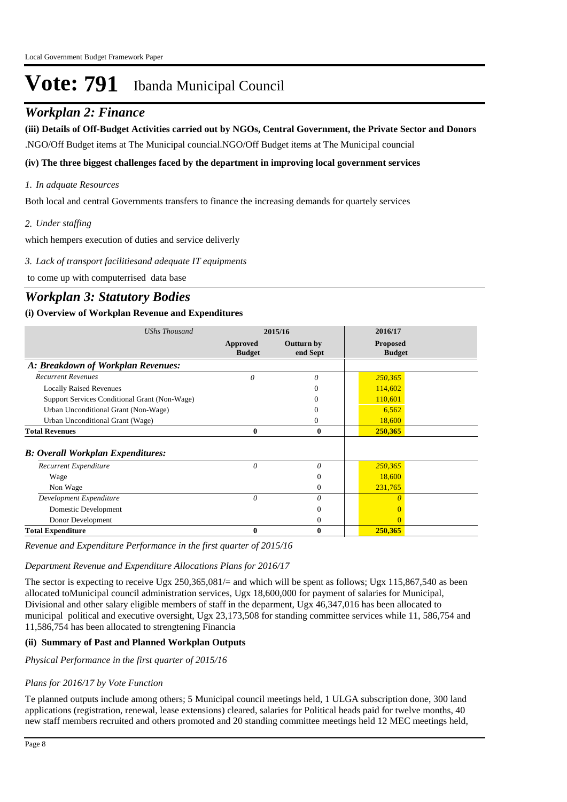### *Workplan 2: Finance*

**(iii) Details of Off-Budget Activities carried out by NGOs, Central Government, the Private Sector and Donors** 

.NGO/Off Budget items at The Municipal councial.NGO/Off Budget items at The Municipal councial

#### **(iv) The three biggest challenges faced by the department in improving local government services**

#### *In adquate Resources 1.*

Both local and central Governments transfers to finance the increasing demands for quartely services

#### *Under staffing 2.*

which hempers execution of duties and service deliverly

*Lack of transport facilitiesand adequate IT equipments 3.*

to come up with computerrised data base

### *Workplan 3: Statutory Bodies*

#### **(i) Overview of Workplan Revenue and Expenditures**

| <b>UShs Thousand</b>                          |                                  | 2015/16                | 2016/17                          |  |
|-----------------------------------------------|----------------------------------|------------------------|----------------------------------|--|
|                                               | <b>Approved</b><br><b>Budget</b> | Outturn by<br>end Sept | <b>Proposed</b><br><b>Budget</b> |  |
| A: Breakdown of Workplan Revenues:            |                                  |                        |                                  |  |
| <b>Recurrent Revenues</b>                     | $\theta$                         | 0                      | 250,365                          |  |
| <b>Locally Raised Revenues</b>                |                                  | 0                      | 114,602                          |  |
| Support Services Conditional Grant (Non-Wage) |                                  | $_{0}$                 | 110,601                          |  |
| Urban Unconditional Grant (Non-Wage)          |                                  |                        | 6,562                            |  |
| Urban Unconditional Grant (Wage)              |                                  | 0                      | 18,600                           |  |
| <b>Total Revenues</b>                         | $\bf{0}$                         | $\bf{0}$               | 250,365                          |  |
| <b>B: Overall Workplan Expenditures:</b>      |                                  |                        |                                  |  |
| Recurrent Expenditure                         | 0                                | 0                      | 250,365                          |  |
| Wage                                          |                                  | $\Omega$               | 18,600                           |  |
| Non Wage                                      |                                  | $\Omega$               | 231,765                          |  |
| Development Expenditure                       | $\theta$                         | $\theta$               |                                  |  |
| Domestic Development                          |                                  | $\Omega$               |                                  |  |
| Donor Development                             |                                  | $\overline{0}$         |                                  |  |
| <b>Total Expenditure</b>                      | $\bf{0}$                         | $\bf{0}$               | 250,365                          |  |

*Revenue and Expenditure Performance in the first quarter of 2015/16*

#### *Department Revenue and Expenditure Allocations Plans for 2016/17*

The sector is expecting to receive Ugx 250,365,081/= and which will be spent as follows; Ugx 115,867,540 as been allocated toMunicipal council administration services, Ugx 18,600,000 for payment of salaries for Municipal, Divisional and other salary eligible members of staff in the deparment, Ugx 46,347,016 has been allocated to municipal political and executive oversight, Ugx 23,173,508 for standing committee services while 11, 586,754 and 11,586,754 has been allocated to strengtening Financia

#### **(ii) Summary of Past and Planned Workplan Outputs**

*Physical Performance in the first quarter of 2015/16*

#### *Plans for 2016/17 by Vote Function*

Te planned outputs include among others; 5 Municipal council meetings held, 1 ULGA subscription done, 300 land applications (registration, renewal, lease extensions) cleared, salaries for Political heads paid for twelve months, 40 new staff members recruited and others promoted and 20 standing committee meetings held 12 MEC meetings held,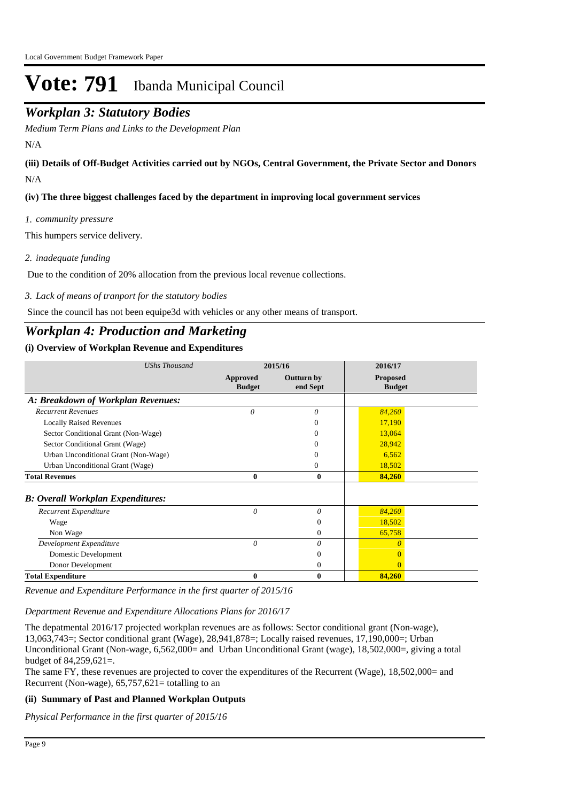## *Workplan 3: Statutory Bodies*

*Medium Term Plans and Links to the Development Plan*

N/A

N/A **(iii) Details of Off-Budget Activities carried out by NGOs, Central Government, the Private Sector and Donors** 

**(iv) The three biggest challenges faced by the department in improving local government services**

*community pressure 1.*

This humpers service delivery.

*inadequate funding 2.*

Due to the condition of 20% allocation from the previous local revenue collections.

*Lack of means of tranport for the statutory bodies 3.*

Since the council has not been equipe3d with vehicles or any other means of transport.

## *Workplan 4: Production and Marketing*

#### **(i) Overview of Workplan Revenue and Expenditures**

| <b>UShs Thousand</b>                      |                           | 2016/17<br>2015/16            |                                  |  |
|-------------------------------------------|---------------------------|-------------------------------|----------------------------------|--|
|                                           | Approved<br><b>Budget</b> | <b>Outturn by</b><br>end Sept | <b>Proposed</b><br><b>Budget</b> |  |
| A: Breakdown of Workplan Revenues:        |                           |                               |                                  |  |
| <b>Recurrent Revenues</b>                 | 0                         | 0                             | 84,260                           |  |
| <b>Locally Raised Revenues</b>            |                           | 0                             | 17,190                           |  |
| Sector Conditional Grant (Non-Wage)       |                           | 0                             | 13,064                           |  |
| Sector Conditional Grant (Wage)           |                           |                               | 28,942                           |  |
| Urban Unconditional Grant (Non-Wage)      |                           | 0                             | 6,562                            |  |
| Urban Unconditional Grant (Wage)          |                           | 0                             | 18,502                           |  |
| <b>Total Revenues</b>                     | $\bf{0}$                  | $\bf{0}$                      | 84,260                           |  |
| <b>B</b> : Overall Workplan Expenditures: |                           |                               |                                  |  |
| Recurrent Expenditure                     | $\theta$                  | $\theta$                      | 84,260                           |  |
| Wage                                      |                           | $\overline{0}$                | 18,502                           |  |
| Non Wage                                  |                           | $\Omega$                      | 65,758                           |  |
| Development Expenditure                   | $\theta$                  | 0                             |                                  |  |
| Domestic Development                      |                           | $\Omega$                      |                                  |  |
| Donor Development                         |                           | $\mathbf{0}$                  |                                  |  |
| <b>Total Expenditure</b>                  | 0                         | $\mathbf{0}$                  | 84,260                           |  |

*Revenue and Expenditure Performance in the first quarter of 2015/16*

*Department Revenue and Expenditure Allocations Plans for 2016/17*

The depatmental 2016/17 projected workplan revenues are as follows: Sector conditional grant (Non-wage), 13,063,743=; Sector conditional grant (Wage), 28,941,878=; Locally raised revenues, 17,190,000=; Urban Unconditional Grant (Non-wage, 6,562,000= and Urban Unconditional Grant (wage), 18,502,000=, giving a total budget of 84,259,621=.

The same FY, these revenues are projected to cover the expenditures of the Recurrent (Wage), 18,502,000= and Recurrent (Non-wage),  $65,757,621=$  totalling to an

#### **(ii) Summary of Past and Planned Workplan Outputs**

*Physical Performance in the first quarter of 2015/16*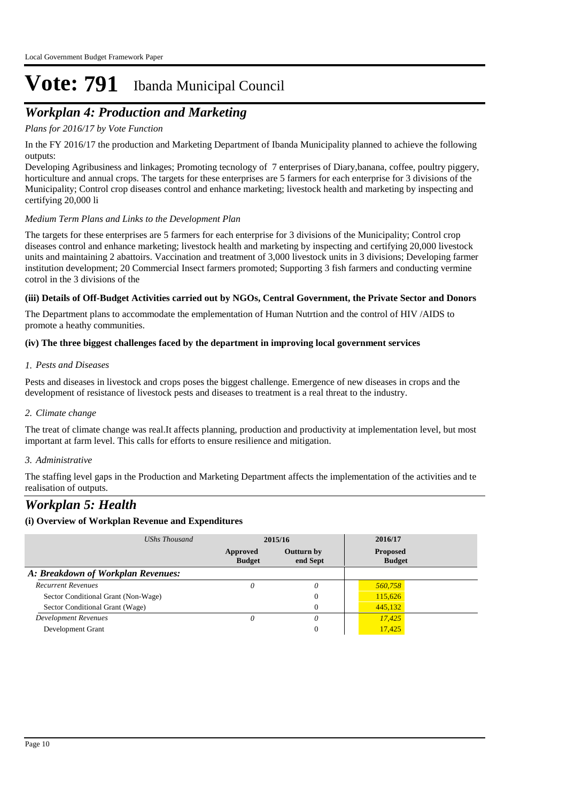## *Workplan 4: Production and Marketing*

#### *Plans for 2016/17 by Vote Function*

In the FY 2016/17 the production and Marketing Department of Ibanda Municipality planned to achieve the following outputs:

Developing Agribusiness and linkages; Promoting tecnology of 7 enterprises of Diary,banana, coffee, poultry piggery, horticulture and annual crops. The targets for these enterprises are 5 farmers for each enterprise for 3 divisions of the Municipality; Control crop diseases control and enhance marketing; livestock health and marketing by inspecting and certifying 20,000 li

#### *Medium Term Plans and Links to the Development Plan*

The targets for these enterprises are 5 farmers for each enterprise for 3 divisions of the Municipality; Control crop diseases control and enhance marketing; livestock health and marketing by inspecting and certifying 20,000 livestock units and maintaining 2 abattoirs. Vaccination and treatment of 3,000 livestock units in 3 divisions; Developing farmer institution development; 20 Commercial Insect farmers promoted; Supporting 3 fish farmers and conducting vermine cotrol in the 3 divisions of the

#### **(iii) Details of Off-Budget Activities carried out by NGOs, Central Government, the Private Sector and Donors**

The Department plans to accommodate the emplementation of Human Nutrtion and the control of HIV /AIDS to promote a heathy communities.

#### **(iv) The three biggest challenges faced by the department in improving local government services**

#### *Pests and Diseases 1.*

Pests and diseases in livestock and crops poses the biggest challenge. Emergence of new diseases in crops and the development of resistance of livestock pests and diseases to treatment is a real threat to the industry.

#### *Climate change 2.*

The treat of climate change was real.It affects planning, production and productivity at implementation level, but most important at farm level. This calls for efforts to ensure resilience and mitigation.

#### *Administrative 3.*

The staffing level gaps in the Production and Marketing Department affects the implementation of the activities and te realisation of outputs.

### *Workplan 5: Health*

| UShs Thousand                       | 2015/16                   |                               | 2016/17                          |  |
|-------------------------------------|---------------------------|-------------------------------|----------------------------------|--|
|                                     | Approved<br><b>Budget</b> | <b>Outturn by</b><br>end Sept | <b>Proposed</b><br><b>Budget</b> |  |
| A: Breakdown of Workplan Revenues:  |                           |                               |                                  |  |
| <b>Recurrent Revenues</b>           | 0                         | 0                             | 560,758                          |  |
| Sector Conditional Grant (Non-Wage) |                           | 0                             | 115,626                          |  |
| Sector Conditional Grant (Wage)     |                           | $\theta$                      | 445,132                          |  |
| <b>Development Revenues</b>         |                           | 0                             | 17.425                           |  |
| Development Grant                   |                           | $\theta$                      | 17,425                           |  |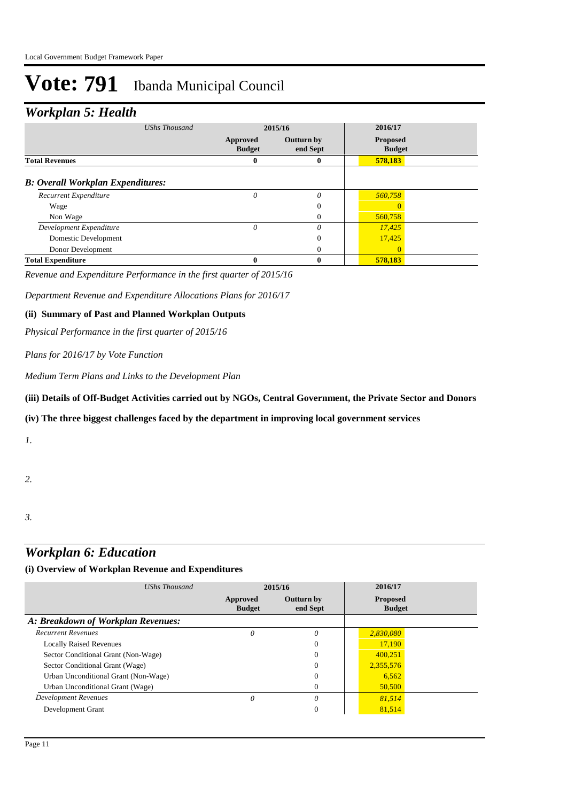## *Workplan 5: Health*

| <b>UShs Thousand</b>                     | 2015/16                   |                               | 2016/17                          |  |
|------------------------------------------|---------------------------|-------------------------------|----------------------------------|--|
|                                          | Approved<br><b>Budget</b> | <b>Outturn by</b><br>end Sept | <b>Proposed</b><br><b>Budget</b> |  |
| <b>Total Revenues</b>                    | 0                         | 0                             | 578,183                          |  |
| <b>B:</b> Overall Workplan Expenditures: |                           |                               |                                  |  |
| Recurrent Expenditure                    | $\theta$                  | $\theta$                      | 560,758                          |  |
| Wage                                     |                           | $\theta$                      |                                  |  |
| Non Wage                                 |                           | $\mathbf{0}$                  | 560,758                          |  |
| Development Expenditure                  | $\theta$                  | $\theta$                      | 17,425                           |  |
| Domestic Development                     |                           | $\theta$                      | 17,425                           |  |
| Donor Development                        |                           | $\Omega$                      | $\Omega$                         |  |
| <b>Total Expenditure</b>                 | 0                         | 0                             | 578,183                          |  |

*Revenue and Expenditure Performance in the first quarter of 2015/16*

*Department Revenue and Expenditure Allocations Plans for 2016/17*

#### **(ii) Summary of Past and Planned Workplan Outputs**

*Physical Performance in the first quarter of 2015/16*

#### *Plans for 2016/17 by Vote Function*

*Medium Term Plans and Links to the Development Plan*

#### **(iii) Details of Off-Budget Activities carried out by NGOs, Central Government, the Private Sector and Donors**

#### **(iv) The three biggest challenges faced by the department in improving local government services**

*1.*

#### *2.*

*3.*

## *Workplan 6: Education*

| UShs Thousand                        |                           | 2015/16                       | 2016/17                          |  |
|--------------------------------------|---------------------------|-------------------------------|----------------------------------|--|
|                                      | Approved<br><b>Budget</b> | <b>Outturn by</b><br>end Sept | <b>Proposed</b><br><b>Budget</b> |  |
| A: Breakdown of Workplan Revenues:   |                           |                               |                                  |  |
| <b>Recurrent Revenues</b>            | 0                         | $\theta$                      | 2,830,080                        |  |
| <b>Locally Raised Revenues</b>       |                           | $\mathbf{0}$                  | 17,190                           |  |
| Sector Conditional Grant (Non-Wage)  |                           | $\Omega$                      | 400,251                          |  |
| Sector Conditional Grant (Wage)      |                           | $\Omega$                      | 2,355,576                        |  |
| Urban Unconditional Grant (Non-Wage) |                           | $\Omega$                      | 6,562                            |  |
| Urban Unconditional Grant (Wage)     |                           | $\Omega$                      | 50,500                           |  |
| Development Revenues                 | 0                         | 0                             | 81,514                           |  |
| Development Grant                    |                           | $\mathbf{0}$                  | 81,514                           |  |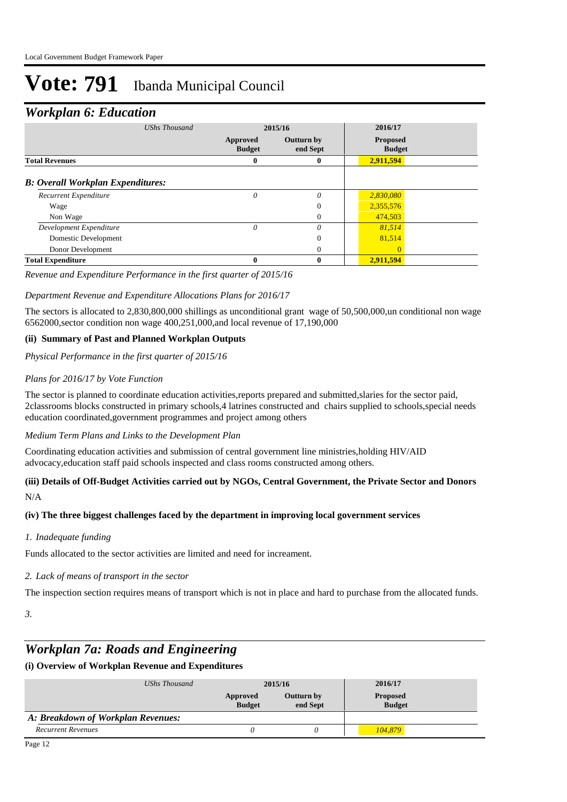### *Workplan 6: Education*

| UShs Thousand                            |                           | 2015/16                       |                                  |  |
|------------------------------------------|---------------------------|-------------------------------|----------------------------------|--|
|                                          | Approved<br><b>Budget</b> | <b>Outturn by</b><br>end Sept | <b>Proposed</b><br><b>Budget</b> |  |
| <b>Total Revenues</b>                    | $\bf{0}$                  | 0                             | 2,911,594                        |  |
| <b>B: Overall Workplan Expenditures:</b> |                           |                               |                                  |  |
| Recurrent Expenditure                    | 0                         | $\theta$                      | 2,830,080                        |  |
| Wage                                     |                           | 0                             | 2,355,576                        |  |
| Non Wage                                 |                           | $\mathbf{0}$                  | 474,503                          |  |
| Development Expenditure                  | $\theta$                  | $\theta$                      | 81,514                           |  |
| Domestic Development                     |                           | 0                             | 81,514                           |  |
| Donor Development                        |                           | 0                             | $\Omega$                         |  |
| <b>Total Expenditure</b>                 | 0                         | 0                             | 2,911,594                        |  |

*Revenue and Expenditure Performance in the first quarter of 2015/16*

#### *Department Revenue and Expenditure Allocations Plans for 2016/17*

The sectors is allocated to 2,830,800,000 shillings as unconditional grant wage of 50,500,000,un conditional non wage 6562000,sector condition non wage 400,251,000,and local revenue of 17,190,000

#### **(ii) Summary of Past and Planned Workplan Outputs**

*Physical Performance in the first quarter of 2015/16*

#### *Plans for 2016/17 by Vote Function*

The sector is planned to coordinate education activities,reports prepared and submitted,slaries for the sector paid, 2classrooms blocks constructed in primary schools,4 latrines constructed and chairs supplied to schools,special needs education coordinated,government programmes and project among others

#### *Medium Term Plans and Links to the Development Plan*

Coordinating education activities and submission of central government line ministries,holding HIV/AID advocacy,education staff paid schools inspected and class rooms constructed among others.

#### N/A **(iii) Details of Off-Budget Activities carried out by NGOs, Central Government, the Private Sector and Donors**

#### **(iv) The three biggest challenges faced by the department in improving local government services**

#### *Inadequate funding 1.*

Funds allocated to the sector activities are limited and need for increament.

#### *Lack of means of transport in the sector 2.*

The inspection section requires means of transport which is not in place and hard to purchase from the allocated funds.

*3.*

### *Workplan 7a: Roads and Engineering*

| UShs Thousand                      | 2015/16                   |                        | 2016/17                          |  |
|------------------------------------|---------------------------|------------------------|----------------------------------|--|
|                                    | Approved<br><b>Budget</b> | Outturn by<br>end Sept | <b>Proposed</b><br><b>Budget</b> |  |
| A: Breakdown of Workplan Revenues: |                           |                        |                                  |  |
| <b>Recurrent Revenues</b>          |                           |                        | 104.879                          |  |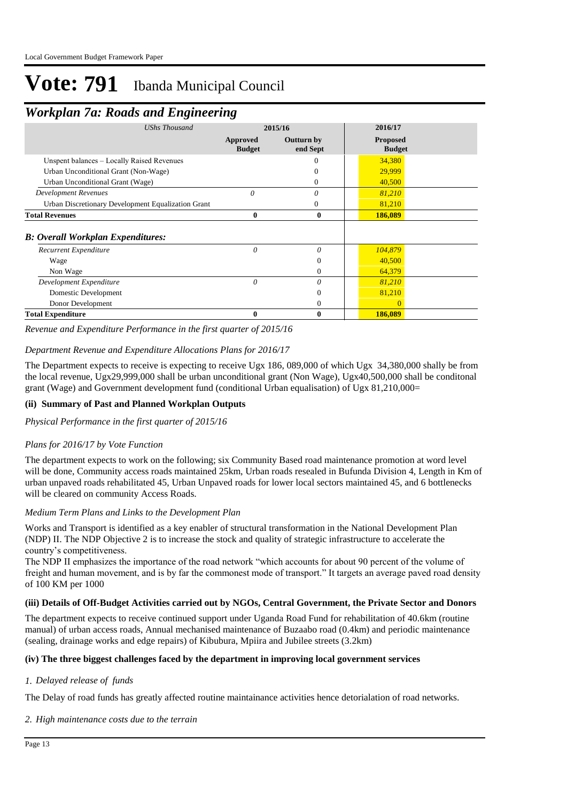## *Workplan 7a: Roads and Engineering*

|                                                    | $\sim$                           |                        |                                  |  |
|----------------------------------------------------|----------------------------------|------------------------|----------------------------------|--|
| <b>UShs Thousand</b>                               | 2015/16                          |                        | 2016/17                          |  |
|                                                    | <b>Approved</b><br><b>Budget</b> | Outturn by<br>end Sept | <b>Proposed</b><br><b>Budget</b> |  |
| Unspent balances - Locally Raised Revenues         |                                  |                        | 34,380                           |  |
| Urban Unconditional Grant (Non-Wage)               |                                  | $_{0}$                 | 29,999                           |  |
| Urban Unconditional Grant (Wage)                   |                                  | 0                      | 40,500                           |  |
| <b>Development Revenues</b>                        | $\theta$                         | 0                      | 81,210                           |  |
| Urban Discretionary Development Equalization Grant |                                  | 0                      | 81,210                           |  |
| <b>Total Revenues</b>                              | 0                                | $\bf{0}$               | 186,089                          |  |
| <b>B: Overall Workplan Expenditures:</b>           |                                  |                        |                                  |  |
| Recurrent Expenditure                              | $\theta$                         | $\theta$               | 104,879                          |  |
| Wage                                               |                                  | $\Omega$               | 40,500                           |  |
| Non Wage                                           |                                  | $\theta$               | 64,379                           |  |
| Development Expenditure                            | $\theta$                         | 0                      | 81,210                           |  |
| Domestic Development                               |                                  | $\overline{0}$         | 81,210                           |  |
| Donor Development                                  |                                  | $\theta$               | $\Omega$                         |  |
| <b>Total Expenditure</b>                           | 0                                | $\bf{0}$               | 186,089                          |  |

*Revenue and Expenditure Performance in the first quarter of 2015/16*

#### *Department Revenue and Expenditure Allocations Plans for 2016/17*

The Department expects to receive is expecting to receive Ugx 186, 089,000 of which Ugx 34,380,000 shally be from the local revenue, Ugx29,999,000 shall be urban unconditional grant (Non Wage), Ugx40,500,000 shall be conditonal grant (Wage) and Government development fund (conditional Urban equalisation) of Ugx 81,210,000=

#### **(ii) Summary of Past and Planned Workplan Outputs**

*Physical Performance in the first quarter of 2015/16*

#### *Plans for 2016/17 by Vote Function*

The department expects to work on the following; six Community Based road maintenance promotion at word level will be done, Community access roads maintained 25km, Urban roads resealed in Bufunda Division 4, Length in Km of urban unpaved roads rehabilitated 45, Urban Unpaved roads for lower local sectors maintained 45, and 6 bottlenecks will be cleared on community Access Roads.

#### *Medium Term Plans and Links to the Development Plan*

Works and Transport is identified as a key enabler of structural transformation in the National Development Plan (NDP) II. The NDP Objective 2 is to increase the stock and quality of strategic infrastructure to accelerate the country's competitiveness.

The NDP II emphasizes the importance of the road network "which accounts for about 90 percent of the volume of freight and human movement, and is by far the commonest mode of transport." It targets an average paved road density of 100 KM per 1000

#### **(iii) Details of Off-Budget Activities carried out by NGOs, Central Government, the Private Sector and Donors**

The department expects to receive continued support under Uganda Road Fund for rehabilitation of 40.6km (routine manual) of urban access roads, Annual mechanised maintenance of Buzaabo road (0.4km) and periodic maintenance (sealing, drainage works and edge repairs) of Kibubura, Mpiira and Jubilee streets (3.2km)

#### **(iv) The three biggest challenges faced by the department in improving local government services**

#### *Delayed release of funds 1.*

The Delay of road funds has greatly affected routine maintainance activities hence detorialation of road networks.

#### *High maintenance costs due to the terrain 2.*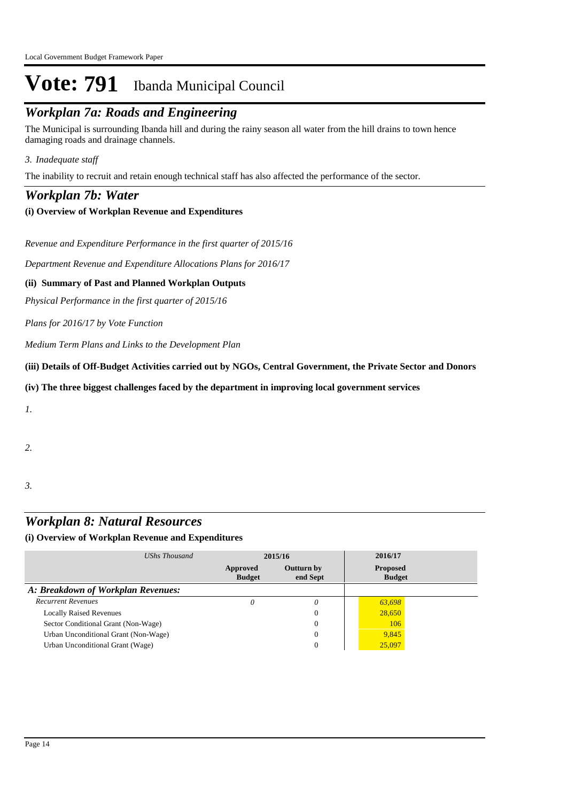## *Workplan 7a: Roads and Engineering*

The Municipal is surrounding Ibanda hill and during the rainy season all water from the hill drains to town hence damaging roads and drainage channels.

#### *Inadequate staff 3.*

The inability to recruit and retain enough technical staff has also affected the performance of the sector.

### *Workplan 7b: Water*

#### **(i) Overview of Workplan Revenue and Expenditures**

*Revenue and Expenditure Performance in the first quarter of 2015/16*

*Department Revenue and Expenditure Allocations Plans for 2016/17*

#### **(ii) Summary of Past and Planned Workplan Outputs**

*Physical Performance in the first quarter of 2015/16*

*Plans for 2016/17 by Vote Function*

*Medium Term Plans and Links to the Development Plan*

**(iii) Details of Off-Budget Activities carried out by NGOs, Central Government, the Private Sector and Donors** 

#### **(iv) The three biggest challenges faced by the department in improving local government services**

*1.*

*2.*

*3.*

## *Workplan 8: Natural Resources*

| UShs Thousand                        | 2015/16                   |                        | 2016/17                          |  |
|--------------------------------------|---------------------------|------------------------|----------------------------------|--|
|                                      | Approved<br><b>Budget</b> | Outturn by<br>end Sept | <b>Proposed</b><br><b>Budget</b> |  |
| A: Breakdown of Workplan Revenues:   |                           |                        |                                  |  |
| <b>Recurrent Revenues</b>            |                           | 0                      | 63,698                           |  |
| <b>Locally Raised Revenues</b>       |                           | 0                      | 28,650                           |  |
| Sector Conditional Grant (Non-Wage)  |                           | $\Omega$               | 106                              |  |
| Urban Unconditional Grant (Non-Wage) |                           | 0                      | 9,845                            |  |
| Urban Unconditional Grant (Wage)     |                           | 0                      | 25,097                           |  |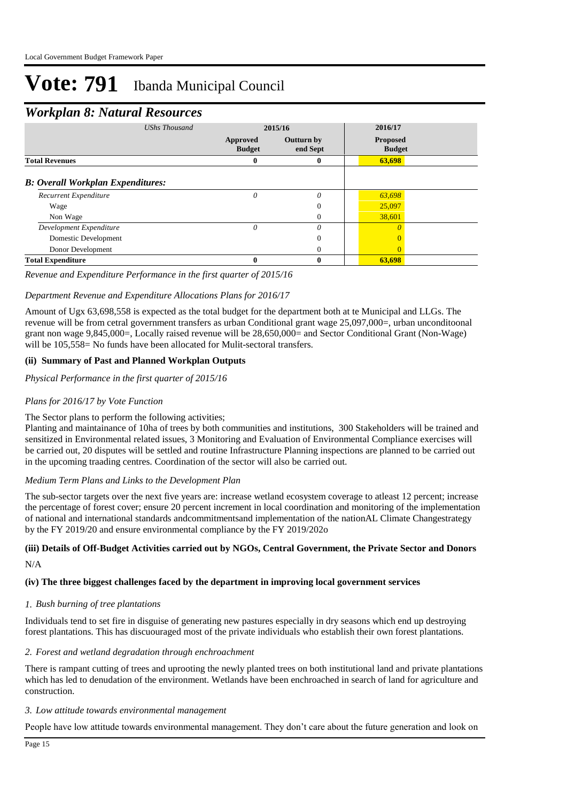### *Workplan 8: Natural Resources*

| <b>UShs Thousand</b>                     | 2015/16                   |                               | 2016/17                          |  |
|------------------------------------------|---------------------------|-------------------------------|----------------------------------|--|
|                                          | Approved<br><b>Budget</b> | <b>Outturn by</b><br>end Sept | <b>Proposed</b><br><b>Budget</b> |  |
| <b>Total Revenues</b>                    | 0                         | 0                             | 63,698                           |  |
| <b>B: Overall Workplan Expenditures:</b> |                           |                               |                                  |  |
| Recurrent Expenditure                    | 0                         | 0                             | 63,698                           |  |
| Wage                                     |                           | $\Omega$                      | 25,097                           |  |
| Non Wage                                 |                           | 0                             | 38,601                           |  |
| Development Expenditure                  | $\theta$                  | 0                             |                                  |  |
| Domestic Development                     |                           | 0                             |                                  |  |
| Donor Development                        |                           | $\Omega$                      |                                  |  |
| <b>Total Expenditure</b>                 | 0                         | 0                             | 63,698                           |  |

#### *Revenue and Expenditure Performance in the first quarter of 2015/16*

#### *Department Revenue and Expenditure Allocations Plans for 2016/17*

Amount of Ugx 63,698,558 is expected as the total budget for the department both at te Municipal and LLGs. The revenue will be from cetral government transfers as urban Conditional grant wage 25,097,000=, urban unconditoonal grant non wage 9,845,000=, Locally raised revenue will be 28,650,000= and Sector Conditional Grant (Non-Wage) will be 105,558= No funds have been allocated for Mulit-sectoral transfers.

#### **(ii) Summary of Past and Planned Workplan Outputs**

*Physical Performance in the first quarter of 2015/16*

#### *Plans for 2016/17 by Vote Function*

#### The Sector plans to perform the following activities;

Planting and maintainance of 10ha of trees by both communities and institutions, 300 Stakeholders will be trained and sensitized in Environmental related issues, 3 Monitoring and Evaluation of Environmental Compliance exercises will be carried out, 20 disputes will be settled and routine Infrastructure Planning inspections are planned to be carried out in the upcoming traading centres. Coordination of the sector will also be carried out.

#### *Medium Term Plans and Links to the Development Plan*

The sub-sector targets over the next five years are: increase wetland ecosystem coverage to atleast 12 percent; increase the percentage of forest cover; ensure 20 percent increment in local coordination and monitoring of the implementation of national and international standards andcommitmentsand implementation of the nationAL Climate Changestrategy by the FY 2019/20 and ensure environmental compliance by the FY 2019/202o

#### N/A **(iii) Details of Off-Budget Activities carried out by NGOs, Central Government, the Private Sector and Donors**

#### **(iv) The three biggest challenges faced by the department in improving local government services**

#### *Bush burning of tree plantations 1.*

Individuals tend to set fire in disguise of generating new pastures especially in dry seasons which end up destroying forest plantations. This has discuouraged most of the private individuals who establish their own forest plantations.

#### *Forest and wetland degradation through enchroachment 2.*

There is rampant cutting of trees and uprooting the newly planted trees on both institutional land and private plantations which has led to denudation of the environment. Wetlands have been enchroached in search of land for agriculture and construction.

#### *Low attitude towards environmental management 3.*

People have low attitude towards environmental management. They don't care about the future generation and look on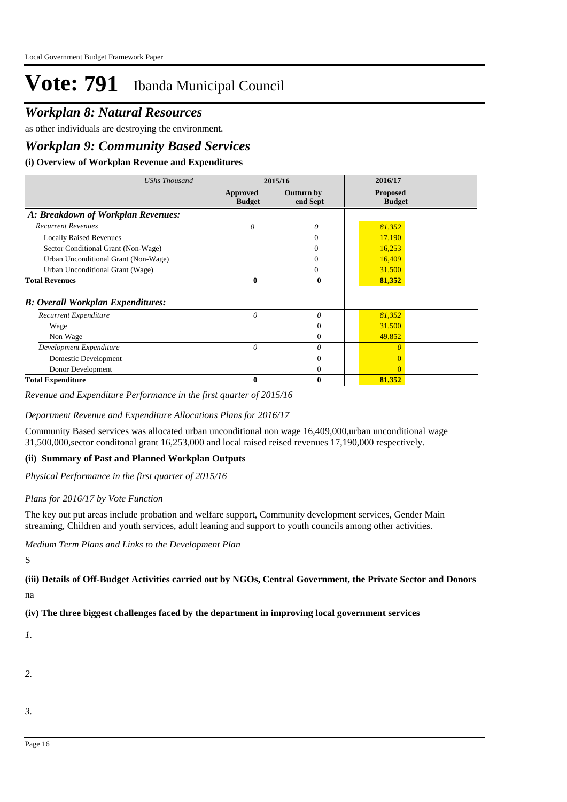### *Workplan 8: Natural Resources*

as other individuals are destroying the environment.

### *Workplan 9: Community Based Services*

#### **(i) Overview of Workplan Revenue and Expenditures**

| <b>UShs Thousand</b>                     | 2015/16                   |                        | 2016/17                          |  |
|------------------------------------------|---------------------------|------------------------|----------------------------------|--|
|                                          | Approved<br><b>Budget</b> | Outturn by<br>end Sept | <b>Proposed</b><br><b>Budget</b> |  |
| A: Breakdown of Workplan Revenues:       |                           |                        |                                  |  |
| <b>Recurrent Revenues</b>                | $\theta$                  | $\theta$               | 81,352                           |  |
| <b>Locally Raised Revenues</b>           |                           |                        | 17,190                           |  |
| Sector Conditional Grant (Non-Wage)      |                           | 0                      | 16,253                           |  |
| Urban Unconditional Grant (Non-Wage)     |                           | 0                      | 16,409                           |  |
| Urban Unconditional Grant (Wage)         |                           | 0                      | 31,500                           |  |
| <b>Total Revenues</b>                    | 0                         | $\bf{0}$               | 81,352                           |  |
| <b>B: Overall Workplan Expenditures:</b> |                           |                        |                                  |  |
| Recurrent Expenditure                    | 0                         | $\theta$               | 81,352                           |  |
| Wage                                     |                           | $\overline{0}$         | 31,500                           |  |
| Non Wage                                 |                           | $\Omega$               | 49,852                           |  |
| Development Expenditure                  | $\theta$                  | $\theta$               |                                  |  |
| Domestic Development                     |                           | $\Omega$               |                                  |  |
| Donor Development                        |                           | $\theta$               |                                  |  |
| <b>Total Expenditure</b>                 | 0                         | $\bf{0}$               | 81,352                           |  |

*Revenue and Expenditure Performance in the first quarter of 2015/16*

#### *Department Revenue and Expenditure Allocations Plans for 2016/17*

Community Based services was allocated urban unconditional non wage 16,409,000,urban unconditional wage 31,500,000,sector conditonal grant 16,253,000 and local raised reised revenues 17,190,000 respectively.

#### **(ii) Summary of Past and Planned Workplan Outputs**

*Physical Performance in the first quarter of 2015/16*

#### *Plans for 2016/17 by Vote Function*

The key out put areas include probation and welfare support, Community development services, Gender Main streaming, Children and youth services, adult leaning and support to youth councils among other activities.

*Medium Term Plans and Links to the Development Plan*

S

#### **(iii) Details of Off-Budget Activities carried out by NGOs, Central Government, the Private Sector and Donors**

na

#### **(iv) The three biggest challenges faced by the department in improving local government services**

*1.*

*2.*

*3.*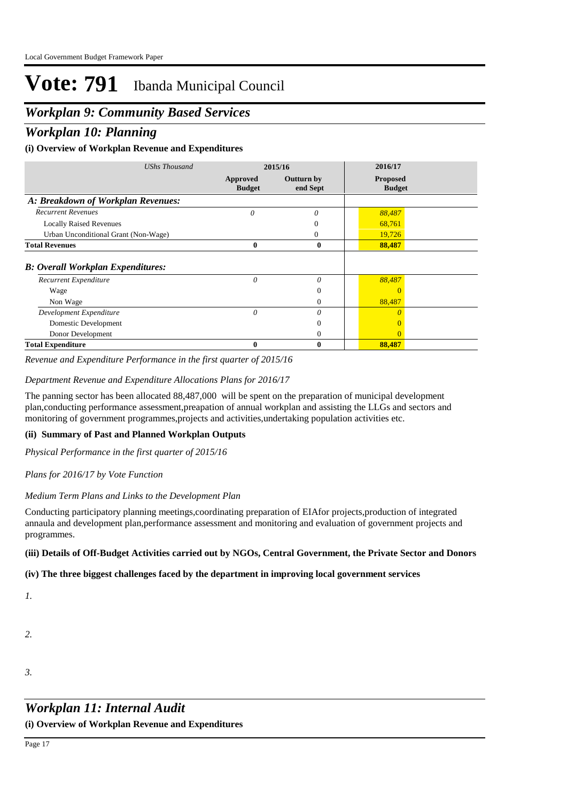### *Workplan 9: Community Based Services*

### *Workplan 10: Planning*

#### **(i) Overview of Workplan Revenue and Expenditures**

| <b>UShs Thousand</b>                     | 2015/16                   |                        | 2016/17                          |  |
|------------------------------------------|---------------------------|------------------------|----------------------------------|--|
|                                          | Approved<br><b>Budget</b> | Outturn by<br>end Sept | <b>Proposed</b><br><b>Budget</b> |  |
| A: Breakdown of Workplan Revenues:       |                           |                        |                                  |  |
| <b>Recurrent Revenues</b>                | $\theta$                  | $\theta$               | 88,487                           |  |
| <b>Locally Raised Revenues</b>           |                           | 0                      | 68,761                           |  |
| Urban Unconditional Grant (Non-Wage)     |                           | 0                      | 19,726                           |  |
| <b>Total Revenues</b>                    | $\bf{0}$                  | $\bf{0}$               | 88,487                           |  |
| <b>B: Overall Workplan Expenditures:</b> |                           |                        |                                  |  |
| Recurrent Expenditure                    | $\theta$                  | $\theta$               | 88,487                           |  |
| Wage                                     |                           | $\overline{0}$         |                                  |  |
| Non Wage                                 |                           | $\Omega$               | 88,487                           |  |
| Development Expenditure                  | $\theta$                  | $\theta$               |                                  |  |
| Domestic Development                     |                           | $\Omega$               |                                  |  |
| Donor Development                        |                           | $\mathbf{0}$           | $\Omega$                         |  |
| <b>Total Expenditure</b>                 | 0                         | $\mathbf{0}$           | 88,487                           |  |

*Revenue and Expenditure Performance in the first quarter of 2015/16*

#### *Department Revenue and Expenditure Allocations Plans for 2016/17*

The panning sector has been allocated 88,487,000 will be spent on the preparation of municipal development plan,conducting performance assessment,preapation of annual workplan and assisting the LLGs and sectors and monitoring of government programmes,projects and activities,undertaking population activities etc.

#### **(ii) Summary of Past and Planned Workplan Outputs**

*Physical Performance in the first quarter of 2015/16*

*Plans for 2016/17 by Vote Function*

#### *Medium Term Plans and Links to the Development Plan*

Conducting participatory planning meetings,coordinating preparation of EIAfor projects,production of integrated annaula and development plan,performance assessment and monitoring and evaluation of government projects and programmes.

#### **(iii) Details of Off-Budget Activities carried out by NGOs, Central Government, the Private Sector and Donors**

#### **(iv) The three biggest challenges faced by the department in improving local government services**

*1.*

*2.*

*3.*

## *Workplan 11: Internal Audit*